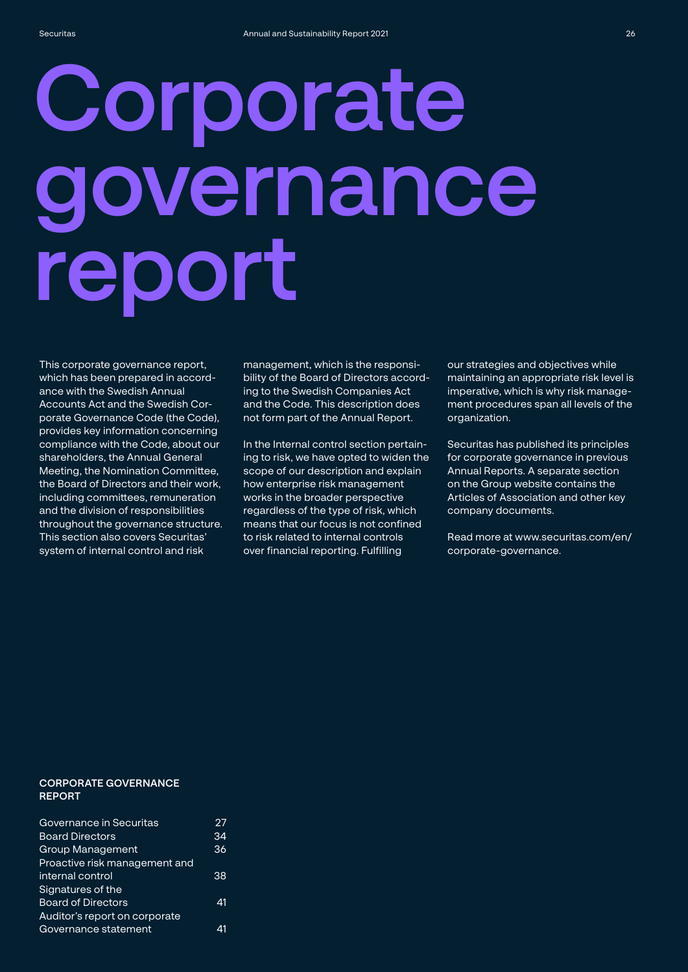# **Corporate governance report**

This corporate governance report, which has been prepared in accordance with the Swedish Annual Accounts Act and the Swedish Corporate Governance Code (the Code), provides key information concerning compliance with the Code, about our shareholders, the Annual General Meeting, the Nomination Committee, the Board of Directors and their work, including committees, remuneration and the division of responsibilities throughout the governance structure. This section also covers Securitas' system of internal control and risk

management, which is the responsibility of the Board of Directors according to the Swedish Companies Act and the Code. This description does not form part of the Annual Report.

In the Internal control section pertaining to risk, we have opted to widen the scope of our description and explain how enterprise risk management works in the broader perspective regardless of the type of risk, which means that our focus is not confined to risk related to internal controls over financial reporting. Fulfilling

our strategies and objectives while maintaining an appropriate risk level is imperative, which is why risk management procedures span all levels of the organization.

Securitas has published its principles for corporate governance in previous Annual Reports. A separate section on the Group website contains the Articles of Association and other key company documents.

Read more at www.securitas.com/en/ corporate-governance.

#### **CORPORATE GOVERNANCE REPORT**

| 27 |
|----|
| 34 |
| 36 |
|    |
| 38 |
|    |
| 41 |
|    |
|    |
|    |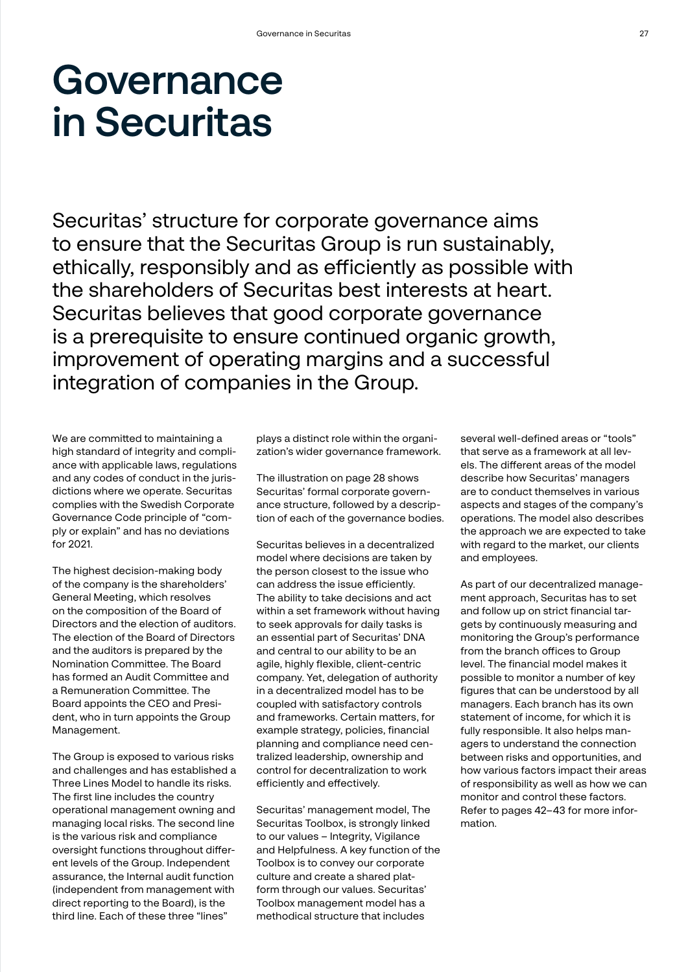### **Governance in Securitas**

Securitas' structure for corporate governance aims to ensure that the Securitas Group is run sustainably, ethically, responsibly and as efficiently as possible with the shareholders of Securitas best interests at heart. Securitas believes that good corporate governance is a prerequisite to ensure continued organic growth, improvement of operating margins and a successful integration of companies in the Group.

We are committed to maintaining a high standard of integrity and compliance with applicable laws, regulations and any codes of conduct in the jurisdictions where we operate. Securitas complies with the Swedish Corporate Governance Code principle of "comply or explain" and has no deviations for 2021.

The highest decision-making body of the company is the shareholders' General Meeting, which resolves on the composition of the Board of Directors and the election of auditors. The election of the Board of Directors and the auditors is prepared by the Nomination Committee. The Board has formed an Audit Committee and a Remuneration Committee. The Board appoints the CEO and President, who in turn appoints the Group Management.

The Group is exposed to various risks and challenges and has established a Three Lines Model to handle its risks. The first line includes the country operational management owning and managing local risks. The second line is the various risk and compliance oversight functions throughout different levels of the Group. Independent assurance, the Internal audit function (independent from management with direct reporting to the Board), is the third line. Each of these three "lines"

plays a distinct role within the organization's wider governance framework.

The illustration on page 28 shows Securitas' formal corporate governance structure, followed by a description of each of the governance bodies.

Securitas believes in a decentralized model where decisions are taken by the person closest to the issue who can address the issue efficiently. The ability to take decisions and act within a set framework without having to seek approvals for daily tasks is an essential part of Securitas' DNA and central to our ability to be an agile, highly flexible, client-centric company. Yet, delegation of authority in a decentralized model has to be coupled with satisfactory controls and frameworks. Certain matters, for example strategy, policies, financial planning and compliance need centralized leadership, ownership and control for decentralization to work efficiently and effectively.

Securitas' management model, The Securitas Toolbox, is strongly linked to our values – Integrity, Vigilance and Helpfulness. A key function of the Toolbox is to convey our corporate culture and create a shared platform through our values. Securitas' Toolbox management model has a methodical structure that includes

several well-defined areas or "tools" that serve as a framework at all levels. The different areas of the model describe how Securitas' managers are to conduct themselves in various aspects and stages of the company's operations. The model also describes the approach we are expected to take with regard to the market, our clients and employees.

As part of our decentralized management approach, Securitas has to set and follow up on strict financial targets by continuously measuring and monitoring the Group's performance from the branch offices to Group level. The financial model makes it possible to monitor a number of key figures that can be understood by all managers. Each branch has its own statement of income, for which it is fully responsible. It also helps managers to understand the connection between risks and opportunities, and how various factors impact their areas of responsibility as well as how we can monitor and control these factors. Refer to pages 42–43 for more information.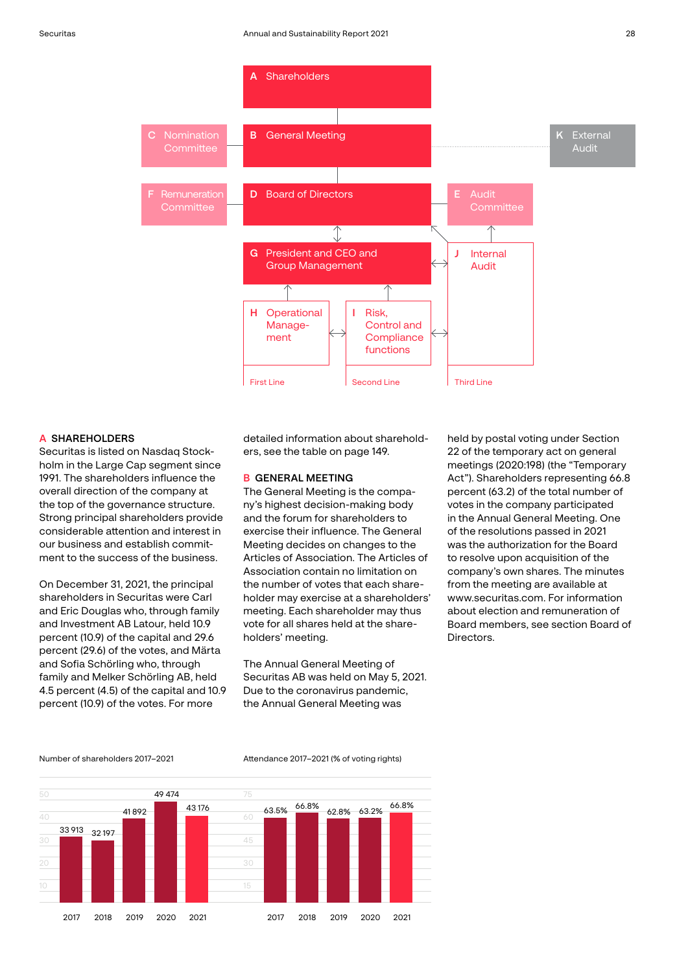

#### **A SHAREHOLDERS**

Securitas is listed on Nasdaq Stockholm in the Large Cap segment since 1991. The shareholders influence the overall direction of the company at the top of the governance structure. Strong principal shareholders provide considerable attention and interest in our business and establish commitment to the success of the business.

On December 31, 2021, the principal shareholders in Securitas were Carl and Eric Douglas who, through family and Investment AB Latour, held 10.9 percent (10.9) of the capital and 29.6 percent (29.6) of the votes, and Märta and Sofia Schörling who, through family and Melker Schörling AB, held 4.5 percent (4.5) of the capital and 10.9 percent (10.9) of the votes. For more

detailed information about shareholders, see the table on page 149.

#### **B GENERAL MEETING**

The General Meeting is the company's highest decision-making body and the forum for shareholders to exercise their influence. The General Meeting decides on changes to the Articles of Association. The Articles of Association contain no limitation on the number of votes that each shareholder may exercise at a shareholders' meeting. Each shareholder may thus vote for all shares held at the shareholders' meeting.

The Annual General Meeting of Securitas AB was held on May 5, 2021. Due to the coronavirus pandemic, the Annual General Meeting was

held by postal voting under Section 22 of the temporary act on general meetings (2020:198) (the "Temporary Act"). Shareholders representing 66.8 percent (63.2) of the total number of votes in the company participated in the Annual General Meeting. One of the resolutions passed in 2021 was the authorization for the Board to resolve upon acquisition of the company's own shares. The minutes from the meeting are available at www.securitas.com. For information about election and remuneration of Board members, see section Board of Directors.

Number of shareholders 2017–2021 Attendance 2017–2021 (% of voting rights)

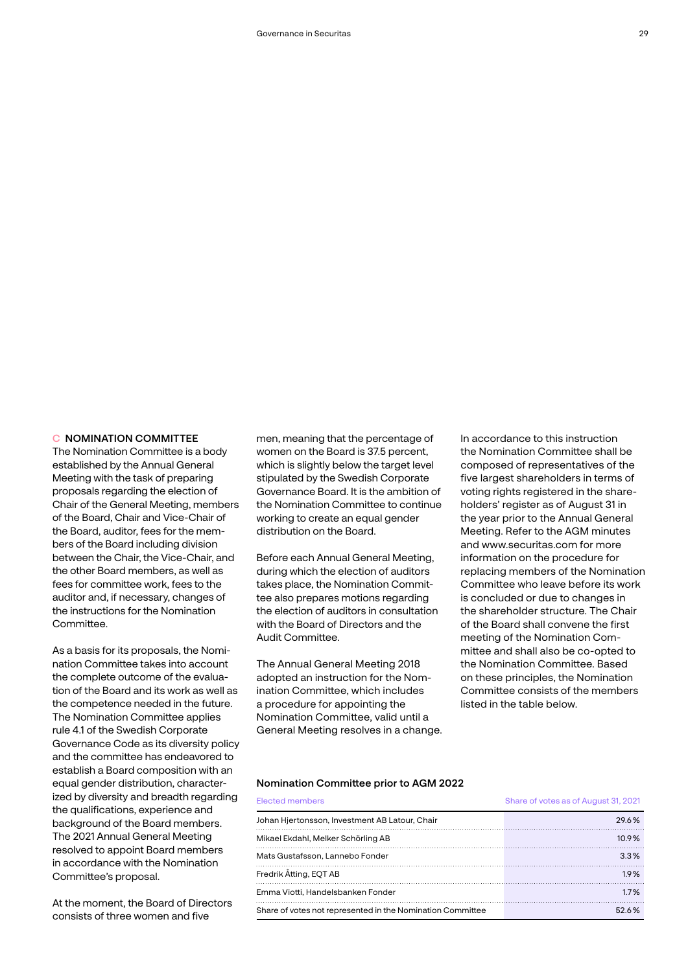#### **C NOMINATION COMMITTEE**

The Nomination Committee is a body established by the Annual General Meeting with the task of preparing proposals regarding the election of Chair of the General Meeting, members of the Board, Chair and Vice-Chair of the Board, auditor, fees for the members of the Board including division between the Chair, the Vice-Chair, and the other Board members, as well as fees for committee work, fees to the auditor and, if necessary, changes of the instructions for the Nomination Committee.

As a basis for its proposals, the Nomination Committee takes into account the complete outcome of the evaluation of the Board and its work as well as the competence needed in the future. The Nomination Committee applies rule 4.1 of the Swedish Corporate Governance Code as its diversity policy and the committee has endeavored to establish a Board composition with an equal gender distribution, characterized by diversity and breadth regarding the qualifications, experience and background of the Board members. The 2021 Annual General Meeting resolved to appoint Board members in accordance with the Nomination Committee's proposal.

At the moment, the Board of Directors consists of three women and five

men, meaning that the percentage of women on the Board is 37.5 percent, which is slightly below the target level stipulated by the Swedish Corporate Governance Board. It is the ambition of the Nomination Committee to continue working to create an equal gender distribution on the Board.

Before each Annual General Meeting, during which the election of auditors takes place, the Nomination Committee also prepares motions regarding the election of auditors in consultation with the Board of Directors and the Audit Committee.

The Annual General Meeting 2018 adopted an instruction for the Nomination Committee, which includes a procedure for appointing the Nomination Committee, valid until a General Meeting resolves in a change. In accordance to this instruction the Nomination Committee shall be composed of representatives of the five largest shareholders in terms of voting rights registered in the shareholders' register as of August 31 in the year prior to the Annual General Meeting. Refer to the AGM minutes and www.securitas.com for more information on the procedure for replacing members of the Nomination Committee who leave before its work is concluded or due to changes in the shareholder structure. The Chair of the Board shall convene the first meeting of the Nomination Committee and shall also be co-opted to the Nomination Committee. Based on these principles, the Nomination Committee consists of the members listed in the table below.

#### **Nomination Committee prior to AGM 2022**

| Elected members                                            | Share of votes as of August 31, 2021 |  |  |  |
|------------------------------------------------------------|--------------------------------------|--|--|--|
| Johan Hjertonsson, Investment AB Latour, Chair             | 296%                                 |  |  |  |
| Mikael Ekdahl, Melker Schörling AB                         | 109%                                 |  |  |  |
| Mats Gustafsson, Lannebo Fonder                            | 3.3%                                 |  |  |  |
| Fredrik Åtting, EQT AB                                     | 19%                                  |  |  |  |
| Emma Viotti, Handelsbanken Fonder                          | 17%                                  |  |  |  |
| Share of votes not represented in the Nomination Committee | 526%                                 |  |  |  |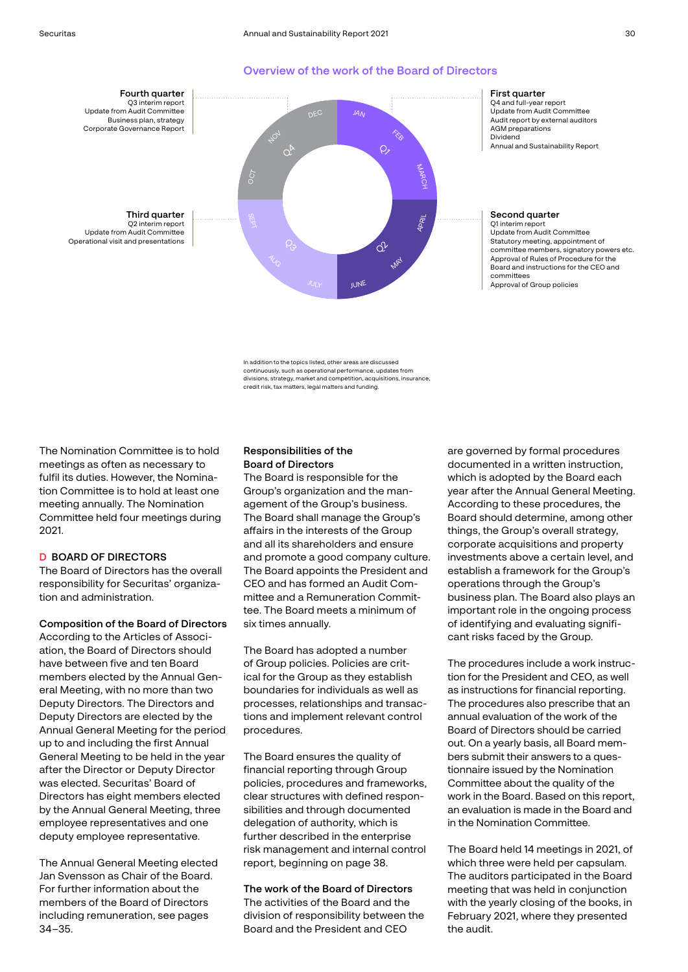#### **Overview of the work of the Board of Directors**



In addition to the topics listed, other areas are discussed continuously, such as operational performance, updates from divisions, strategy, market and competition, acquisitions, insurance, credit risk, tax matters, legal matters and funding.

The Nomination Committee is to hold meetings as often as necessary to fulfil its duties. However, the Nomination Committee is to hold at least one meeting annually. The Nomination Committee held four meetings during 2021.

#### **D BOARD OF DIRECTORS**

The Board of Directors has the overall responsibility for Securitas' organization and administration.

**Composition of the Board of Directors** According to the Articles of Association, the Board of Directors should have between five and ten Board members elected by the Annual General Meeting, with no more than two Deputy Directors. The Directors and Deputy Directors are elected by the Annual General Meeting for the period up to and including the first Annual General Meeting to be held in the year after the Director or Deputy Director was elected. Securitas' Board of Directors has eight members elected by the Annual General Meeting, three employee representatives and one deputy employee representative.

The Annual General Meeting elected Jan Svensson as Chair of the Board. For further information about the members of the Board of Directors including remuneration, see pages 34–35.

#### **Responsibilities of the Board of Directors**

The Board is responsible for the Group's organization and the management of the Group's business. The Board shall manage the Group's affairs in the interests of the Group and all its shareholders and ensure and promote a good company culture. The Board appoints the President and CEO and has formed an Audit Committee and a Remuneration Committee. The Board meets a minimum of six times annually.

The Board has adopted a number of Group policies. Policies are critical for the Group as they establish boundaries for individuals as well as processes, relationships and transactions and implement relevant control procedures.

The Board ensures the quality of financial reporting through Group policies, procedures and frameworks, clear structures with defined responsibilities and through documented delegation of authority, which is further described in the enterprise risk management and internal control report, beginning on page 38.

**The work of the Board of Directors** The activities of the Board and the division of responsibility between the Board and the President and CEO

are governed by formal procedures documented in a written instruction, which is adopted by the Board each year after the Annual General Meeting. According to these procedures, the Board should determine, among other things, the Group's overall strategy, corporate acquisitions and property investments above a certain level, and establish a framework for the Group's operations through the Group's business plan. The Board also plays an important role in the ongoing process of identifying and evaluating significant risks faced by the Group.

The procedures include a work instruction for the President and CEO, as well as instructions for financial reporting. The procedures also prescribe that an annual evaluation of the work of the Board of Directors should be carried out. On a yearly basis, all Board members submit their answers to a questionnaire issued by the Nomination Committee about the quality of the work in the Board. Based on this report, an evaluation is made in the Board and in the Nomination Committee.

The Board held 14 meetings in 2021, of which three were held per capsulam. The auditors participated in the Board meeting that was held in conjunction with the yearly closing of the books, in February 2021, where they presented the audit.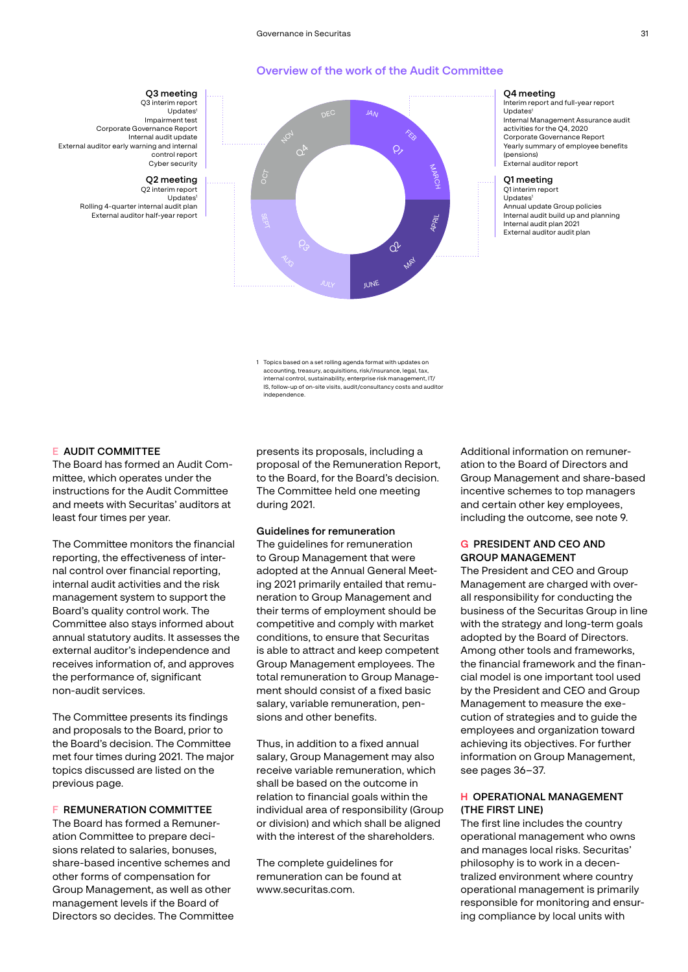#### **Overview of the work of the Audit Committee**

#### **Q3 meeting** Q3 interim report

Updates Impairment test Corporate Governance Report Internal audit update External auditor early warning and internal control report Cyber security

> **Q2 meeting** Q2 interim report Updates Rolling 4-quarter internal audit plan External auditor half-year report



#### **Q4 meeting**

Interim report and full-year report Updates Internal Management Assurance audit activities for the Q4, 2020 Corporate Governance Report Yearly summary of employee benefits (pensions) External auditor report

#### **Q1 meeting** Q1 interim report

 $Up dates<sup>1</sup>$ Annual update Group policies Internal audit build up and planning Internal audit plan 2021 External auditor audit plan

1 Topics based on a set rolling agenda format with updates on accounting, treasury, acquisitions, risk/insurance, legal, tax, internal control, sustainability, enterprise risk management, IT/ IS, follow-up of on-site visits, audit/consultancy costs and auditor independence.

#### **E AUDIT COMMITTEE**

The Board has formed an Audit Committee, which operates under the instructions for the Audit Committee and meets with Securitas' auditors at least four times per year.

The Committee monitors the financial reporting, the effectiveness of internal control over financial reporting, internal audit activities and the risk management system to support the Board's quality control work. The Committee also stays informed about annual statutory audits. It assesses the external auditor's independence and receives information of, and approves the performance of, significant non-audit services.

The Committee presents its findings and proposals to the Board, prior to the Board's decision. The Committee met four times during 2021. The major topics discussed are listed on the previous page.

**F REMUNERATION COMMITTEE** The Board has formed a Remuneration Committee to prepare decisions related to salaries, bonuses, share-based incentive schemes and other forms of compensation for Group Management, as well as other management levels if the Board of Directors so decides. The Committee presents its proposals, including a proposal of the Remuneration Report, to the Board, for the Board's decision. The Committee held one meeting during 2021.

#### **Guidelines for remuneration**

The quidelines for remuneration to Group Management that were adopted at the Annual General Meeting 2021 primarily entailed that remuneration to Group Management and their terms of employment should be competitive and comply with market conditions, to ensure that Securitas is able to attract and keep competent Group Management employees. The total remuneration to Group Management should consist of a fixed basic salary, variable remuneration, pensions and other benefits.

Thus, in addition to a fixed annual salary, Group Management may also receive variable remuneration, which shall be based on the outcome in relation to financial goals within the individual area of responsibility (Group or division) and which shall be aligned with the interest of the shareholders.

The complete guidelines for remuneration can be found at www.securitas.com.

Additional information on remuneration to the Board of Directors and Group Management and share-based incentive schemes to top managers and certain other key employees, including the outcome, see note 9.

#### **G PRESIDENT AND CEO AND GROUP MANAGEMENT**

The President and CEO and Group Management are charged with overall responsibility for conducting the business of the Securitas Group in line with the strategy and long-term goals adopted by the Board of Directors. Among other tools and frameworks, the financial framework and the financial model is one important tool used by the President and CEO and Group Management to measure the execution of strategies and to guide the employees and organization toward achieving its objectives. For further information on Group Management, see pages 36–37.

#### **H OPERATIONAL MANAGEMENT (THE FIRST LINE)**

The first line includes the country operational management who owns and manages local risks. Securitas' philosophy is to work in a decentralized environment where country operational management is primarily responsible for monitoring and ensuring compliance by local units with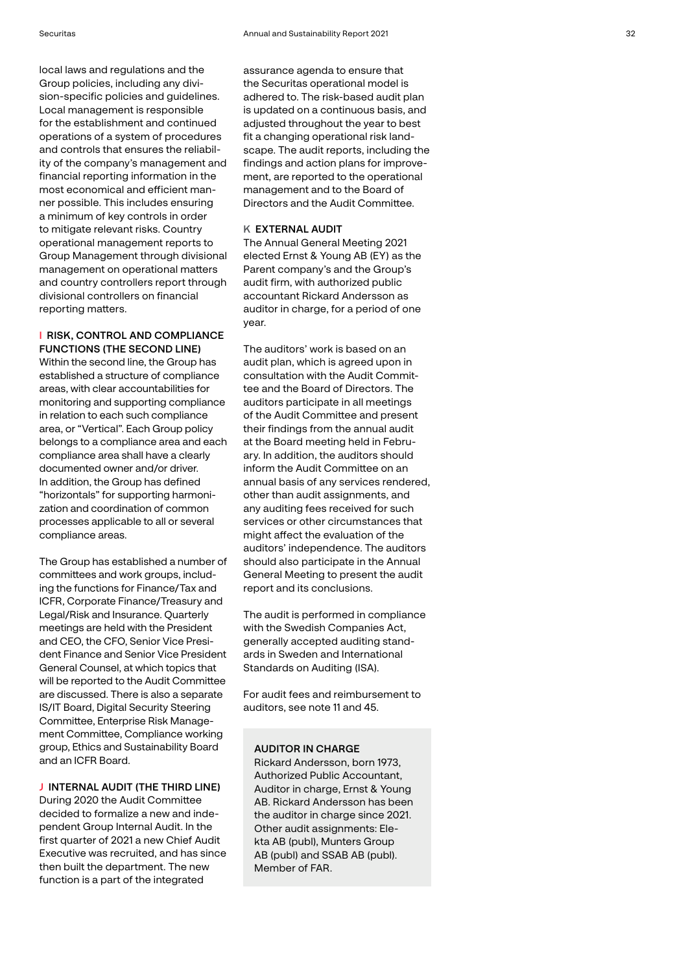local laws and regulations and the Group policies, including any divi sion-specific policies and guidelines. Local management is responsible for the establishment and continued operations of a system of procedures and controls that ensures the reliabil ity of the company's management and financial reporting information in the most economical and efficient man ner possible. This includes ensuring a minimum of key controls in order to mitigate relevant risks. Country operational management reports to Group Management through divisional management on operational matters and country controllers report through divisional controllers on financial reporting matters.

#### **I RISK, CONTROL AND COMPLIANCE FUNCTIONS (THE SECOND LINE)**

Within the second line, the Group has established a structure of compliance areas, with clear accountabilities for monitoring and supporting compliance in relation to each such compliance area, or "Vertical". Each Group policy belongs to a compliance area and each compliance area shall have a clearly documented owner and/or driver. In addition, the Group has defined "horizontals" for supporting harmoni zation and coordination of common processes applicable to all or several compliance areas.

The Group has established a number of committees and work groups, includ ing the functions for Finance/Tax and ICFR, Corporate Finance/Treasury and Legal/Risk and Insurance. Quarterly meetings are held with the President and CEO, the CFO, Senior Vice Presi dent Finance and Senior Vice President General Counsel, at which topics that will be reported to the Audit Committee are discussed. There is also a separate IS/IT Board, Digital Security Steering Committee, Enterprise Risk Manage ment Committee, Compliance working group, Ethics and Sustainability Board and an ICFR Board.

#### **J INTERNAL AUDIT (THE THIRD LINE)**

During 2020 the Audit Committee decided to formalize a new and inde pendent Group Internal Audit. In the first quarter of 2021 a new Chief Audit Executive was recruited, and has since then built the department. The new function is a part of the integrated

assurance agenda to ensure that the Securitas operational model is adhered to. The risk-based audit plan is updated on a continuous basis, and adjusted throughout the year to best fit a changing operational risk land scape. The audit reports, including the findings and action plans for improve ment, are reported to the operational management and to the Board of Directors and the Audit Committee.

#### **K EXTERNAL AUDIT**

The Annual General Meeting 2021 elected Ernst & Young AB (EY) as the Parent company's and the Group's audit firm, with authorized public accountant Rickard Andersson as auditor in charge, for a period of one year.

The auditors' work is based on an audit plan, which is agreed upon in consultation with the Audit Commit tee and the Board of Directors. The auditors participate in all meetings of the Audit Committee and present their findings from the annual audit at the Board meeting held in Febru ary. In addition, the auditors should inform the Audit Committee on an annual basis of any services rendered, other than audit assignments, and any auditing fees received for such services or other circumstances that might affect the evaluation of the auditors' independence. The auditors should also participate in the Annual General Meeting to present the audit report and its conclusions.

The audit is performed in compliance with the Swedish Companies Act, generally accepted auditing stand ards in Sweden and International Standards on Auditing (ISA).

For audit fees and reimbursement to auditors, see note 11 and 45.

#### **AUDITOR IN CHARGE**

Rickard Andersson, born 1973, Authorized Public Accountant, Auditor in charge, Ernst & Young AB. Rickard Andersson has been the auditor in charge since 2021. Other audit assignments: Ele kta AB (publ), Munters Group AB (publ) and SSAB AB (publ). Member of FAR.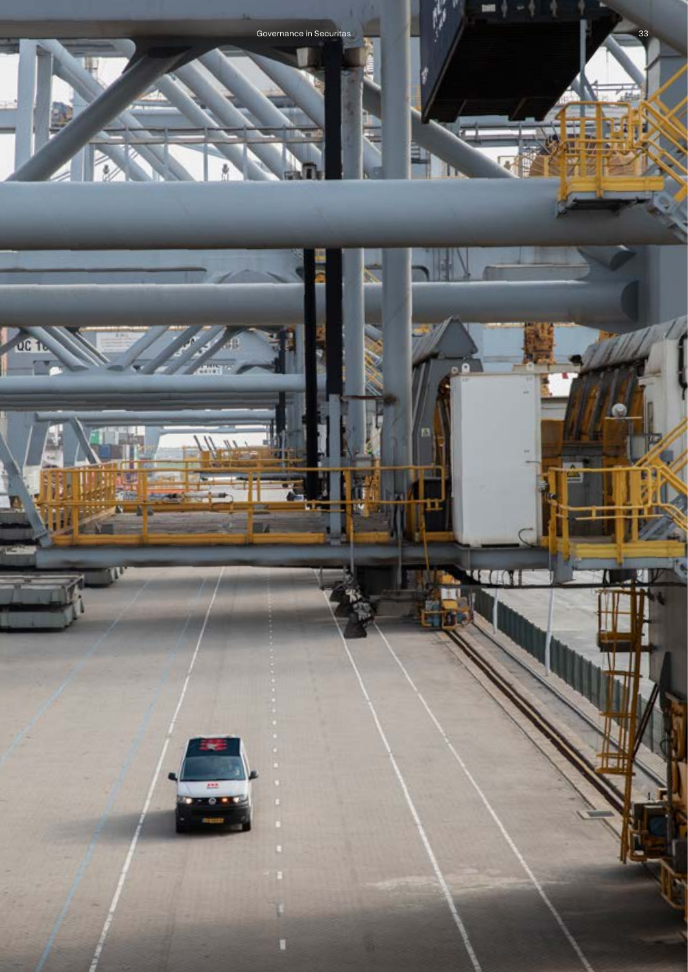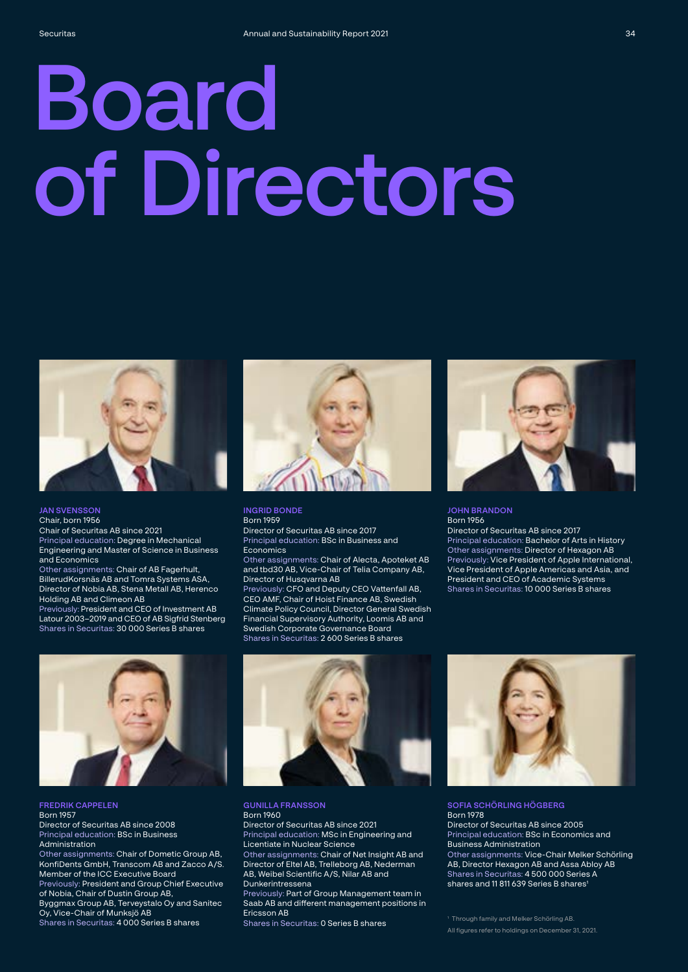# **Board of Directors**



**JAN SVENSSON** Chair, born 1956 Chair of Securitas AB since 2021 Principal education: Degree in Mechanical Engineering and Master of Science in Business

and Economics Other assignments: Chair of AB Fagerhult, BillerudKorsnäs AB and Tomra Systems ASA, Director of Nobia AB, Stena Metall AB, Herenco Holding AB and Climeon AB

Previously: President and CEO of Investment AB Latour 2003–2019 and CEO of AB Sigfrid Stenberg Shares in Securitas: 30 000 Series B shares



**INGRID BONDE** Born 1959 Director of Securitas AB since 2017

Principal education: BSc in Business and **Economics** Other assignments: Chair of Alecta, Apoteket AB

and tbd30 AB, Vice-Chair of Telia Company AB, Director of Husqvarna AB

Previously: CFO and Deputy CEO Vattenfall AB, CEO AMF, Chair of Hoist Finance AB, Swedish Climate Policy Council, Director General Swedish Financial Supervisory Authority, Loomis AB and Swedish Corporate Governance Board Shares in Securitas: 2 600 Series B shares



**JOHN BRANDON** Born 1956 Director of Securitas AB since 2017 Principal education: Bachelor of Arts in History Other assignments: Director of Hexagon AB Previously: Vice President of Apple International, Vice President of Apple Americas and Asia, and President and CEO of Academic Systems Shares in Securitas: 10 000 Series B shares



**FREDRIK CAPPELEN** Born 1957 Director of Securitas AB since 2008 Principal education: BSc in Business Administration Other assignments: Chair of Dometic Group AB, KonfiDents GmbH, Transcom AB and Zacco A/S. Member of the ICC Executive Board Previously: President and Group Chief Executive of Nobia, Chair of Dustin Group AB,

Byggmax Group AB, Terveystalo Oy and Sanitec Oy, Vice-Chair of Munksjö AB

Shares in Securitas: 4 000 Series B shares



**GUNILLA FRANSSON** Born 1960 Director of Securitas AB since 2021 Principal education: MSc in Engineering and Licentiate in Nuclear Science Other assignments: Chair of Net Insight AB and Director of Eltel AB, Trelleborg AB, Nederman AB, Weibel Scientific A/S, Nilar AB and Dunkerintressena Previously: Part of Group Management team in Saab AB and different management positions in Ericsson AB Shares in Securitas: 0 Series B shares



**SOFIA SCHÖRLING HÖGBERG** Born 1978 Director of Securitas AB since 2005 Principal education: BSc in Economics and Business Administration Other assignments: Vice-Chair Melker Schörling AB, Director Hexagon AB and Assa Abloy AB Shares in Securitas: 4 500 000 Series A shares and 11 811 639 Series B shares<sup>1</sup>

1 Through family and Melker Schörling AB.

All figures refer to holdings on December 31, 2021.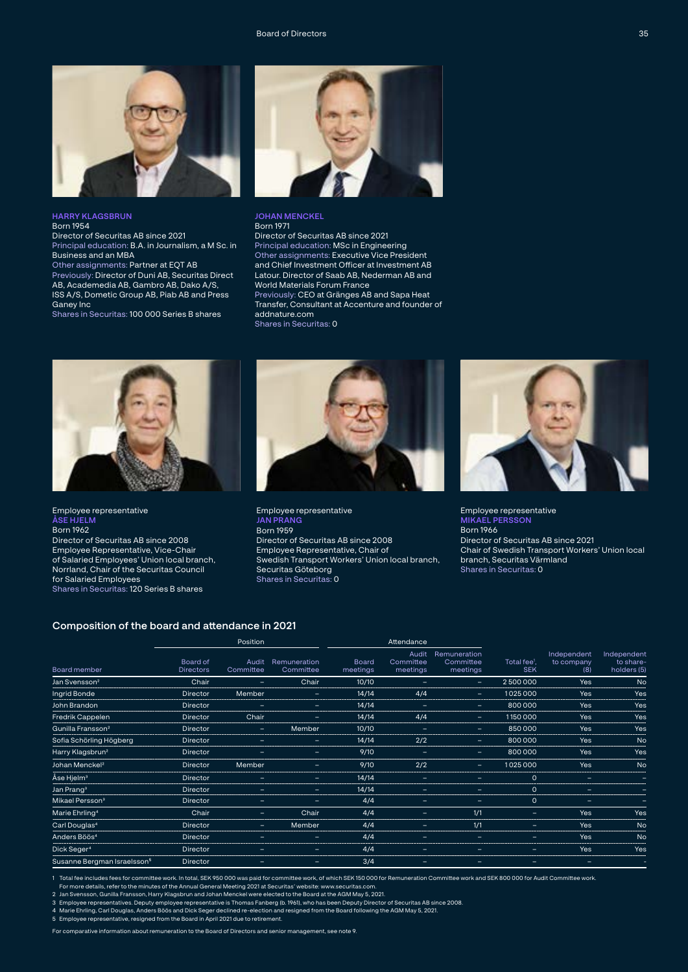#### Board of Directors 35



**HARRY KLAGSBRUN** Born 1954

Director of Securitas AB since 2021 Principal education: B.A. in Journalism, a M Sc. in Business and an MBA

Other assignments: Partner at EQT AB

Previously: Director of Duni AB, Securitas Direct AB, Academedia AB, Gambro AB, Dako A/S, ISS A/S, Dometic Group AB, Piab AB and Press Ganey Inc

Shares in Securitas: 100 000 Series B shares



#### **JOHAN MENCKEL**  Born 1971 Director of Securitas AB since 2021

Principal education: MSc in Engineering Other assignments: Executive Vice President and Chief Investment Officer at Investment AB Latour. Director of Saab AB, Nederman AB and World Materials Forum France Previously: CEO at Gränges AB and Sapa Heat Transfer, Consultant at Accenture and founder of

addnature.com Shares in Securitas: 0



Employee representative **ÅSE HJELM** Born 1962 Director of Securitas AB since 2008 Employee Representative, Vice-Chair of Salaried Employees' Union local branch, Norrland, Chair of the Securitas Council for Salaried Employees Shares in Securitas: 120 Series B shares



Employee representative **JAN PRANG** Born 1959 Director of Securitas AB since 2008 Employee Representative, Chair of Swedish Transport Workers' Union local branch, Securitas Göteborg Shares in Securitas: 0



Employee representative **MIKAEL PERSSON** Born 1966 Director of Securitas AB since 2021 Chair of Swedish Transport Workers' Union local branch, Securitas Värmland Shares in Securitas: 0

#### **Composition of the board and attendance in 2021**

| Board member                            | Position                            |                          |                           | Attendance        |                                |                                       |                                        |                                  |                                         |
|-----------------------------------------|-------------------------------------|--------------------------|---------------------------|-------------------|--------------------------------|---------------------------------------|----------------------------------------|----------------------------------|-----------------------------------------|
|                                         | <b>Board of</b><br><b>Directors</b> | Audit<br>Committee       | Remuneration<br>Committee | Board<br>meetings | Audit<br>Committee<br>meetings | Remuneration<br>Committee<br>meetings | Total fee <sup>1</sup> ,<br><b>SEK</b> | Independent<br>to company<br>(8) | Independent<br>to share-<br>holders (5) |
| Jan Svensson <sup>2</sup>               | Chair                               | $\overline{\phantom{0}}$ | Chair                     | 10/10             |                                |                                       | 2500000                                | <b>Yes</b>                       | No                                      |
| Ingrid Bonde                            | Director                            | Member                   |                           | 14/14             | 4/4                            | $-$                                   | 1025000                                | <b>Yes</b>                       | Yes                                     |
| John Brandon                            | <b>Director</b>                     |                          |                           | 14/14             |                                |                                       | 800000                                 | <b>Yes</b>                       | Yes                                     |
| Fredrik Cappelen                        | Director                            | Chair                    |                           | 14/14             | 4/4                            |                                       | 1150000                                | <b>Yes</b>                       | Yes                                     |
| Gunilla Fransson <sup>2</sup>           | Director                            |                          | <b>Member</b>             | 10/10             |                                |                                       | 850000                                 | <b>Yes</b>                       | Yes                                     |
| Sofia Schörling Högberg                 | Director                            |                          |                           | 14/14             | 2/2                            |                                       | 800000                                 | Yes                              | No                                      |
| Harry Klagsbrun <sup>2</sup>            | Director                            |                          |                           | 9/10              |                                |                                       | 800000                                 | Yes                              | Yes                                     |
| Johan Menckel <sup>2</sup>              | <b>Director</b>                     | Member                   |                           | 9/10              | 2/2                            |                                       | 1025000                                | Yes                              | <b>No</b>                               |
| Åse Hjelm <sup>s</sup>                  | Director                            |                          |                           | 14/14             |                                |                                       | O                                      |                                  |                                         |
| Jan Prang <sup>3</sup>                  | <b>Director</b>                     |                          |                           | 14/14             |                                |                                       |                                        |                                  |                                         |
| Mikael Persson <sup>3</sup>             | <b>Director</b>                     |                          |                           | 4/4               |                                |                                       | 0                                      |                                  |                                         |
| Marie Ehrling <sup>4</sup>              | Chair                               |                          | Chair                     | 4/4               |                                | 1/1                                   |                                        | Yes                              | Yes                                     |
| Carl Douglas <sup>4</sup>               | <b>Director</b>                     |                          | Member                    | 4/4               |                                | 1/1                                   |                                        | Yes                              | <b>No</b>                               |
| Anders Böös <sup>4</sup>                | <b>Director</b>                     |                          |                           | 4/4               |                                |                                       |                                        | Yes                              | <b>No</b>                               |
| Dick Seger <sup>4</sup>                 | <b>Director</b>                     |                          |                           | 4/4               |                                |                                       |                                        | Yes                              | Yes                                     |
| Susanne Bergman Israelsson <sup>5</sup> | Director                            |                          |                           | 3/4               |                                |                                       |                                        |                                  |                                         |

1 Total fee includes fees for committee work. In total, SEK 950 000 was paid for committee work, of which SEK 150 000 for Remuneration Committee work and SEK 800 000 for Audit Committee work.

For more details, refer to the minutes of the Annual General Meeting 2021 at Securitas' website: www.securitas.com.<br>2 Jan Svensson, Gunilla Fransson, Harry Klagsbrun and Johan Menckel were elected to the Board at the AGM

4 Marie Ehrling, Carl Douglas, Anders Böös and Dick Seger declined re-election and resigned from the Board following the AGM May 5, 2021.

5 Employee representative, resigned from the Board in April 2021 due to retirement.

For comparative information about remuneration to the Board of Directors and senior management, see note 9.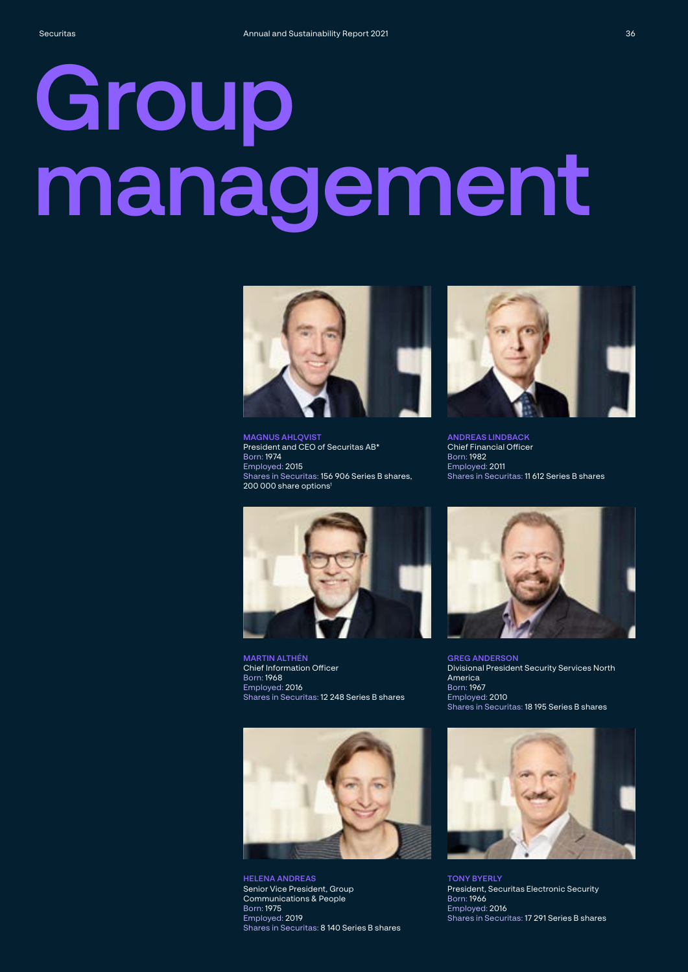## **Group management**



**MAGNUS AHLQVIST**  President and CEO of Securitas AB\* Born: 1974 Employed: 2015 Shares in Securitas: 156 906 Series B shares, 200 000 share options1



**ANDREAS LINDBACK** Chief Financial Officer Born: 1982 Employed: 2011 Shares in Securitas: 11 612 Series B shares



**MARTIN ALTHÉN** Chief Information Officer Born: 1968 Employed: 2016 Shares in Securitas: 12 248 Series B shares



**HELENA ANDREAS** Senior Vice President, Group Communications & People Born: 1975 Employed: 2019 Shares in Securitas: 8 140 Series B shares



**GREG ANDERSON** Divisional President Security Services North America Born: 1967 Employed: 2010 Shares in Securitas: 18 195 Series B shares



**TONY BYERLY** President, Securitas Electronic Security Born: 1966 Employed: 2016 Shares in Securitas: 17 291 Series B shares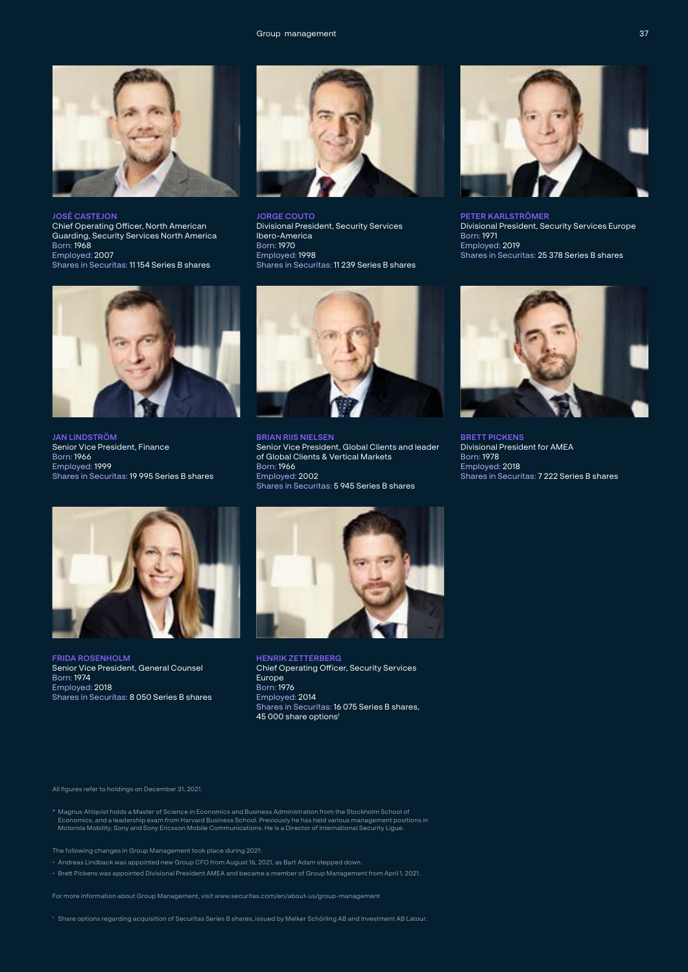

**JOSÉ CASTEJON** Chief Operating Officer, North American Guarding, Security Services North America Born: 1968 Employed: 2007 Shares in Securitas: 11 154 Series B shares



**JAN LINDSTRÖM** Senior Vice President, Finance Born: 1966 Employed: 1999 Shares in Securitas: 19 995 Series B shares



**JORGE COUTO** Divisional President, Security Services Ibero-America Born: 1970 Employed: 1998 Shares in Securitas: 11 239 Series B shares



**BRIAN RIIS NIELSEN** Senior Vice President, Global Clients and leader of Global Clients & Vertical Markets Born: 1966 Employed: 2002 Shares in Securitas: 5 945 Series B shares



**PETER KARLSTRÖMER** Divisional President, Security Services Europe Born: 1971 Employed: 2019 Shares in Securitas: 25 378 Series B shares



**BRETT PICKENS** Divisional President for AMEA Born: 1978 Employed: 2018 Shares in Securitas: 7 222 Series B shares



**FRIDA ROSENHOLM** Senior Vice President, General Counsel Born: 1974 Employed: 2018 Shares in Securitas: 8 050 Series B shares



**HENRIK ZETTERBERG** Chief Operating Officer, Security Services Europe Born: 1976 Employed: 2014 Shares in Securitas: 16 075 Series B shares, 45 000 share options1

\* Magnus Ahlqvist holds a Master of Science in Economics and Business Administration from the Stockholm School of<br>Economics, and a leadership exam from Harvard Business School. Previously he has held various management pos Motorola Mobility, Sony and Sony Ericsson Mobile Communications. He is a Director of International Security Ligue.

The following changes in Group Management took place during 2021:

- Andreas Lindback was appointed new Group CFO from August 16, 2021, as Bart Adam stepped down.
- Brett Pickens was appointed Divisional President AMEA and became a member of Group Management from April 1, 2021.

For more information about Group Management, visit www.securitas.com/en/about-us/group-management

1 Share options regarding acquisition of Securitas Series B shares, issued by Melker Schörling AB and Investment AB Latour.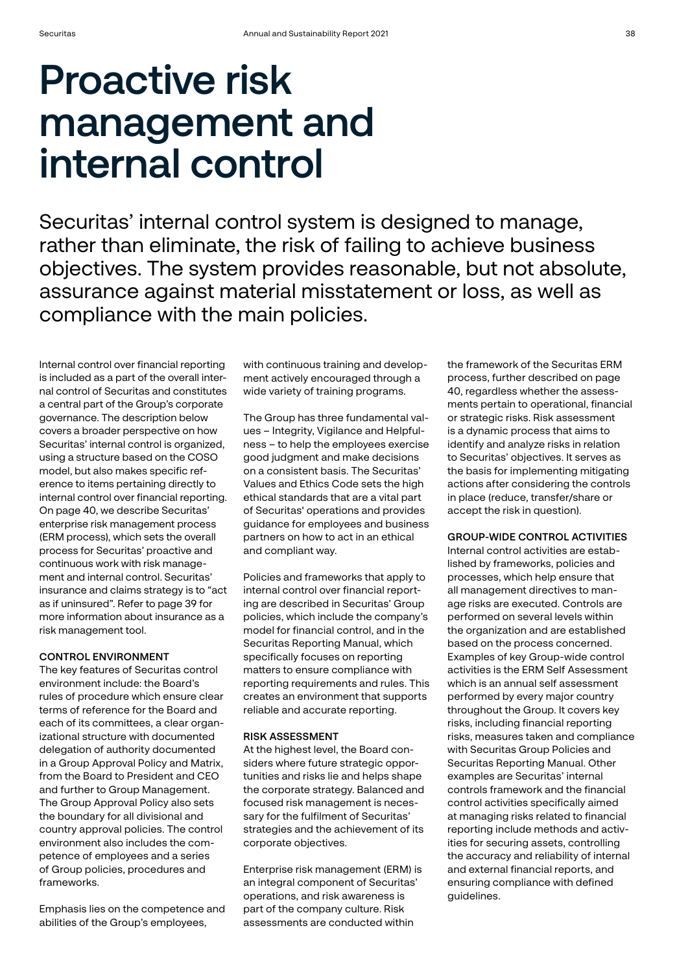## **Proactive risk management and internal control**

Securitas' internal control system is designed to manage, rather than eliminate, the risk of failing to achieve business objectives. The system provides reasonable, but not absolute, assurance against material misstatement or loss, as well as compliance with the main policies.

Internal control over financial reporting is included as a part of the overall internal control of Securitas and constitutes a central part of the Group's corporate governance. The description below covers a broader perspective on how Securitas' internal control is organized, using a structure based on the COSO model, but also makes specific reference to items pertaining directly to internal control over financial reporting. On page 40, we describe Securitas' enterprise risk management process (ERM process), which sets the overall process for Securitas' proactive and continuous work with risk management and internal control. Securitas' insurance and claims strategy is to "act as if uninsured". Refer to page 39 for more information about insurance as a risk management tool.

#### **CONTROL ENVIRONMENT**

The key features of Securitas control environment include: the Board's rules of procedure which ensure clear terms of reference for the Board and each of its committees, a clear organizational structure with documented delegation of authority documented in a Group Approval Policy and Matrix, from the Board to President and CEO and further to Group Management. The Group Approval Policy also sets the boundary for all divisional and country approval policies. The control environment also includes the competence of employees and a series of Group policies, procedures and frameworks.

Emphasis lies on the competence and abilities of the Group's employees,

with continuous training and development actively encouraged through a wide variety of training programs.

The Group has three fundamental values – Integrity, Vigilance and Helpfulness – to help the employees exercise good judgment and make decisions on a consistent basis. The Securitas' Values and Ethics Code sets the high ethical standards that are a vital part of Securitas' operations and provides guidance for employees and business partners on how to act in an ethical and compliant way.

Policies and frameworks that apply to internal control over financial reporting are described in Securitas' Group policies, which include the company's model for financial control, and in the Securitas Reporting Manual, which specifically focuses on reporting matters to ensure compliance with reporting requirements and rules. This creates an environment that supports reliable and accurate reporting.

#### **RISK ASSESSMENT**

At the highest level, the Board considers where future strategic opportunities and risks lie and helps shape the corporate strategy. Balanced and focused risk management is necessary for the fulfilment of Securitas' strategies and the achievement of its corporate objectives.

Enterprise risk management (ERM) is an integral component of Securitas' operations, and risk awareness is part of the company culture. Risk assessments are conducted within

the framework of the Securitas ERM process, further described on page 40, regardless whether the assessments pertain to operational, financial or strategic risks. Risk assessment is a dynamic process that aims to identify and analyze risks in relation to Securitas' objectives. It serves as the basis for implementing mitigating actions after considering the controls in place (reduce, transfer/share or accept the risk in question).

#### **GROUP-WIDE CONTROL ACTIVITIES**

Internal control activities are established by frameworks, policies and processes, which help ensure that all management directives to manage risks are executed. Controls are performed on several levels within the organization and are established based on the process concerned. Examples of key Group-wide control activities is the ERM Self Assessment which is an annual self assessment performed by every major country throughout the Group. It covers key risks, including financial reporting risks, measures taken and compliance with Securitas Group Policies and Securitas Reporting Manual. Other examples are Securitas' internal controls framework and the financial control activities specifically aimed at managing risks related to financial reporting include methods and activities for securing assets, controlling the accuracy and reliability of internal and external financial reports, and ensuring compliance with defined guidelines.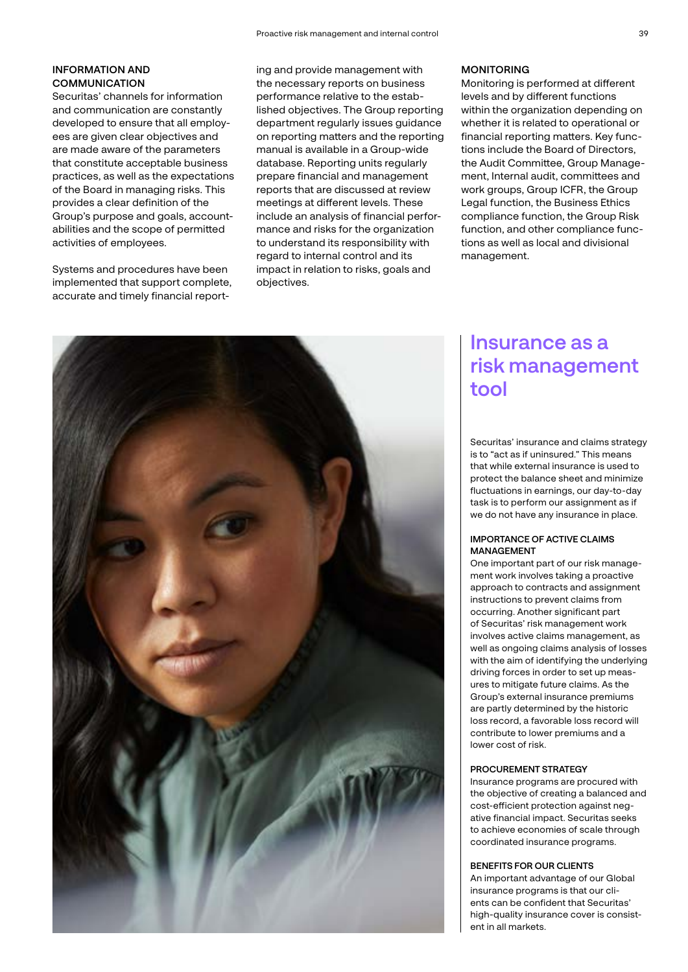#### **INFORMATION AND COMMUNICATION**

Securitas' channels for information and communication are constantly developed to ensure that all employees are given clear objectives and are made aware of the parameters that constitute acceptable business practices, as well as the expectations of the Board in managing risks. This provides a clear definition of the Group's purpose and goals, accountabilities and the scope of permitted activities of employees.

Systems and procedures have been implemented that support complete, accurate and timely financial reporting and provide management with the necessary reports on business performance relative to the established objectives. The Group reporting department regularly issues guidance on reporting matters and the reporting manual is available in a Group-wide database. Reporting units regularly prepare financial and management reports that are discussed at review meetings at different levels. These include an analysis of financial performance and risks for the organization to understand its responsibility with regard to internal control and its impact in relation to risks, goals and objectives.

#### **MONITORING**

Monitoring is performed at different levels and by different functions within the organization depending on whether it is related to operational or financial reporting matters. Key functions include the Board of Directors, the Audit Committee, Group Management, Internal audit, committees and work groups, Group ICFR, the Group Legal function, the Business Ethics compliance function, the Group Risk function, and other compliance functions as well as local and divisional management.



### **Insurance as a risk management tool**

Securitas' insurance and claims strategy is to "act as if uninsured." This means that while external insurance is used to protect the balance sheet and minimize fluctuations in earnings, our day-to-day task is to perform our assignment as if we do not have any insurance in place.

#### **IMPORTANCE OF ACTIVE CLAIMS MANAGEMENT**

One important part of our risk management work involves taking a proactive approach to contracts and assignment instructions to prevent claims from occurring. Another significant part of Securitas' risk management work involves active claims management, as well as ongoing claims analysis of losses with the aim of identifying the underlying driving forces in order to set up measures to mitigate future claims. As the Group's external insurance premiums are partly determined by the historic loss record, a favorable loss record will contribute to lower premiums and a lower cost of risk.

#### **PROCUREMENT STRATEGY**

Insurance programs are procured with the objective of creating a balanced and cost-efficient protection against negative financial impact. Securitas seeks to achieve economies of scale through coordinated insurance programs.

#### **BENEFITS FOR OUR CLIENTS**

An important advantage of our Global insurance programs is that our clients can be confident that Securitas' high-quality insurance cover is consistent in all markets.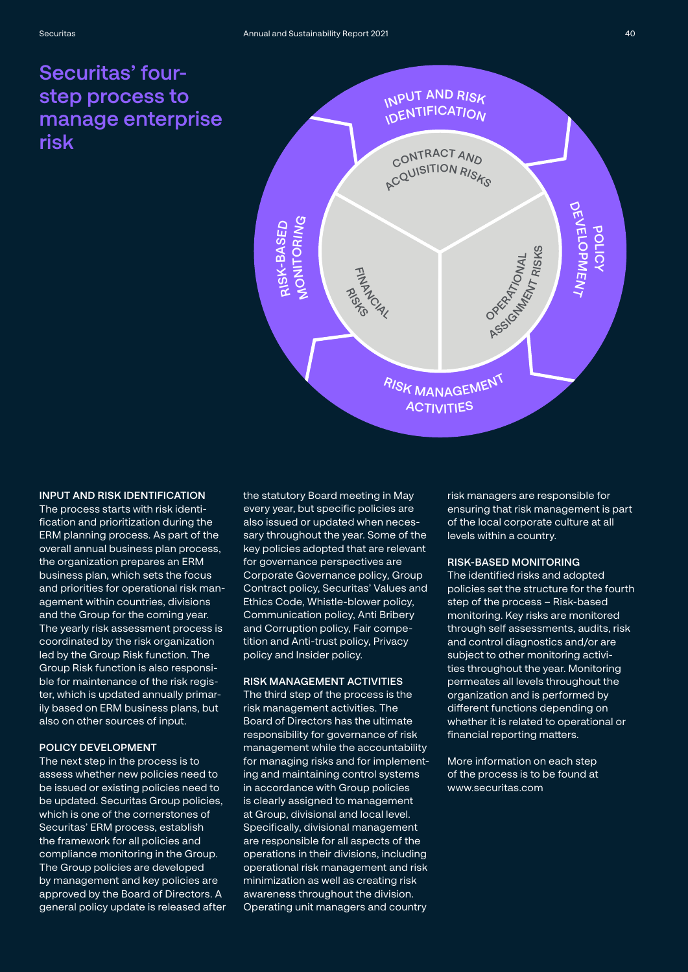

#### **INPUT AND RISK IDENTIFICATION**

The process starts with risk identification and prioritization during the ERM planning process. As part of the overall annual business plan process, the organization prepares an ERM business plan, which sets the focus and priorities for operational risk management within countries, divisions and the Group for the coming year. The yearly risk assessment process is coordinated by the risk organization led by the Group Risk function. The Group Risk function is also responsible for maintenance of the risk register, which is updated annually primarily based on ERM business plans, but also on other sources of input.

#### **POLICY DEVELOPMENT**

The next step in the process is to assess whether new policies need to be issued or existing policies need to be updated. Securitas Group policies, which is one of the cornerstones of Securitas' ERM process, establish the framework for all policies and compliance monitoring in the Group. The Group policies are developed by management and key policies are approved by the Board of Directors. A general policy update is released after the statutory Board meeting in May every year, but specific policies are also issued or updated when necessary throughout the year. Some of the key policies adopted that are relevant for governance perspectives are Corporate Governance policy, Group Contract policy, Securitas' Values and Ethics Code, Whistle-blower policy, Communication policy, Anti Bribery and Corruption policy, Fair competition and Anti-trust policy, Privacy policy and Insider policy.

#### **RISK MANAGEMENT ACTIVITIES**

The third step of the process is the risk management activities. The Board of Directors has the ultimate responsibility for governance of risk management while the accountability for managing risks and for implementing and maintaining control systems in accordance with Group policies is clearly assigned to management at Group, divisional and local level. Specifically, divisional management are responsible for all aspects of the operations in their divisions, including operational risk management and risk minimization as well as creating risk awareness throughout the division. Operating unit managers and country

risk managers are responsible for ensuring that risk management is part of the local corporate culture at all levels within a country.

#### **RISK-BASED MONITORING**

The identified risks and adopted policies set the structure for the fourth step of the process – Risk-based monitoring. Key risks are monitored through self assessments, audits, risk and control diagnostics and/or are subject to other monitoring activities throughout the year. Monitoring permeates all levels throughout the organization and is performed by different functions depending on whether it is related to operational or financial reporting matters.

More information on each step of the process is to be found at www.securitas.com